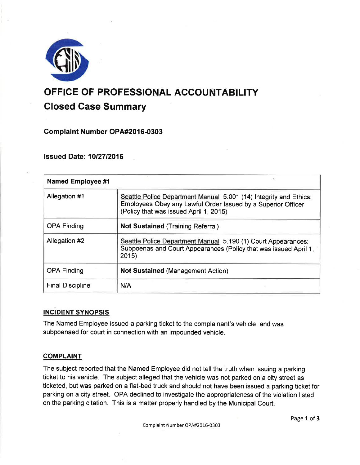

# OFFICE OF PROFESSIONAL ACCOUNTABILITY

# Glosed Gase Summary

Complaint Number OPA#2016-0303

lssued Date: 10127 12016

| <b>Named Employee #1</b> |                                                                                                                                                                             |
|--------------------------|-----------------------------------------------------------------------------------------------------------------------------------------------------------------------------|
| Allegation #1            | Seattle Police Department Manual 5.001 (14) Integrity and Ethics:<br>Employees Obey any Lawful Order Issued by a Superior Officer<br>(Policy that was issued April 1, 2015) |
| <b>OPA Finding</b>       | <b>Not Sustained (Training Referral)</b>                                                                                                                                    |
| Allegation #2            | Seattle Police Department Manual 5.190 (1) Court Appearances:<br>Subpoenas and Court Appearances (Policy that was issued April 1,<br>2015                                   |
| <b>OPA Finding</b>       | <b>Not Sustained (Management Action)</b>                                                                                                                                    |
| <b>Final Discipline</b>  | N/A                                                                                                                                                                         |

# INCIDENT SYNOPSIS

The Named Employee issued a parking ticket to the complainant's vehicle, and was subpoenaed for court in connection with an impounded vehicle.

# **COMPLAINT**

The subject reported that the Named Employee did not tell the truth when issuing a parking ticket to his vehicle. The subject alleged that the vehicle was not parked on a city street as ticketed, but was parked on a flat-bed truck and should not have been issued a parking ticket for parking on a city street. OPA declined to investigate the appropriateness of the violation listed on the parking citation. This is a matter properly handled by the Municipal Court.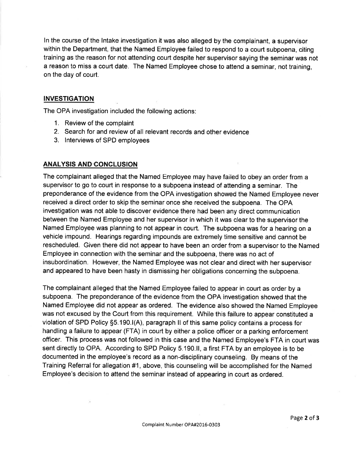ln the course of the lntake investigation it was also alleged by the complainant, a supervisor within the Department, that the Named Employee failed to respond to a court subpoena, citing training as the reason for not attending court despite her supervisor saying the seminar was not a reason to miss a court date. The Named Employee chose to attend a seminar, not training, on the day of court.

#### INVESTIGATION

The OPA investigation included the following actions:

- 1. Review of the complaint
- 2. Search for and review of all relevant records and other evidence
- 3. lnterviews of SPD employees

#### ANALYSIS AND.GONCLUSION

The complainant alleged that the Named Employee may have failed to obey an order from a supervisor to go to court in response to a subpoena instead of attending a seminar. The preponderance of the evidence from the OPA investigation showed the Named Employee never received a direct order to skip the seminar once she received the subpoena. The OPA investigation was not able to discover evidence there had been any direct communication between the Named Employee and her supervisor in which it was clear to the supervisor the Named Employee was planning to not appear in court. The subpoena was for a hearing on a vehicle impound. Hearings regarding impounds are extremely time sensitive and cannot be rescheduled. Given there did not appear to have been an order from a supervisor to the Named Employee in connection with the seminar and the subpoena, there was no act of insubordination. However, the Named Employee was not clear and direct with her supervisor and appeared to have been hasty in dismissing her obligations concerning the subpoena.

The complainant alleged that the Named Employee failed to appear in court as order by a subpoena. The preponderance of the evidence from the OPA investigation showed that the Named Employee did not appear as ordered. The evidence also showed the Named Employee was not excused by the Court from this requirement. While this failure to appear constituted a violation of SPD Policy 55.190.1(A), paragraph ll of this same policy contains a process for handling a failure to appear (FTA) in court by either a police officer or a parking enforcement officer. This process was not followed in this case and the Named Employee's FTA in court was sent directly to OPA. According to SPD Policy 5.190.11, a first FTA by an employee is to be documented in the employee's record as a non-disciplinary counseling. By means of the Training Referral for allegation #1, above, this counseling will be accomplished for the Named Employee's decision to attend the seminar instead of appearing in court as ordered.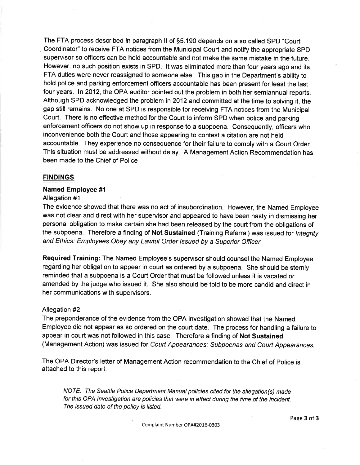The FTA process described in paragraph ll of 55.1 90 depends on a so called SPD "Court Coordinator" to receive FTA notices from the Municipal Court and notify the appropriate SPD supervisor so officers can be held accountable and not make the same mistake in the future. However, no such position exists in SPD. lt was eliminated more than four years ago and its FTA duties were never reassigned to someone else. This gap in the Department's ability to hold police and parking enforcement officers accountable has been present for least the last four years. ln 2012, the OPA auditor pointed out the problem in both her semiannual reports. Although SPD acknowledged the problem in 2012 and committed at the time to solving it, the gap still remains. No one at SPD is responsible for receiving FTA notices from the Municipal Court. There is no effective method for the Court to inform SPD when police and parking enforcement officers do not show up in response to a subpoena. Consequently, officers who inconvenience both the Court and those appearing to contest a citation are not held accountable. They experience no consequence for their failure to comply with a Court Order. This situation must be addressed without delay. A Management Action Recommendation has been made to the Chief of Police

# FINDINGS

#### Named Employee #l

#### Allegation #1

The evidence showed that there was no act of insubordination. However, the Named Employee was not clear and direct with her supervisor and appeared to have been hasty in dismissing her personal obligation to make certain she had been released by the court from the obligations of the subpoena. Therefore a finding of Not Sustained (Training Referral) was issued for Integrity and Ethics: Employees Obey any Lawful Order /ssued by a Superior Officer.

Required Training: The Named Employee's supervisor should counsel the Named Employee regarding her obligation to appear in court as ordered by a subpoena. She should be sternly reminded that a subpoena is a Court Order that must be followed unless it is vacated or amended by the judge who issued it. She also should be told to be more candid and direct in her communications with supervisors.

#### Allegation #2

The preponderance of the evidence from the OPA investigation showed that the Named Employee did not appear as so ordered on the court date. The process for handling a failure to appear in court was not followed in this case. Therefore a finding of Not Sustained (Management Action) was issued for Court Appearances: Subpoenas and Court Appearances.

The OPA Director's letter of Management Action recommendation to the Chief of Police is attached to this report.

NOTE: The Seattle Police Department Manual policies cited for the allegation(s) made for this OPA lnvestigation are policies that were in effect during the time of the incident. The issued date of the policy is listed.

Page 3 of 3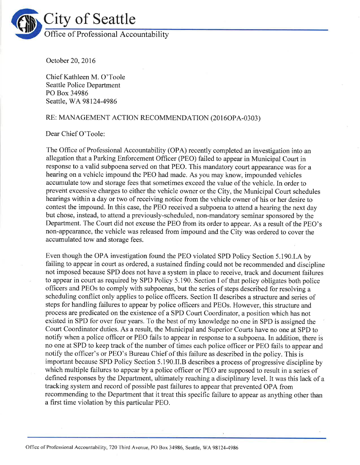

October 20,2016

Chief Kathleen M. O'Toole Seattle Police Department PO Box 34986 Seattle, WA 98124-4986

# RE: MANAGEMENT ACTION RECOMMENDATION (2016OPA-0303)

# Dear Chief O'Toole:

The Office of Professional Accountability (OPA) recently completed an investigation into an allegation that a Parking Enforcement Officer (PEO) failed to appear in Municipal Court in response to a valid subpoena served on that PEO. This mandatory court appearance was for a hearing on a vchiclc impound thc PEO had made. As you may know, impounded vehicles accumulate tow and storage fees that sometimes exceed the value of the vehicle. In order to preveirt excessive charges to either the vehicle owner or the City, the Municipal Court schedules hearings within a day or two of receiving notice from the vehicle owner of his or her desire to contest the impound. In this case, the PEO received a subpoena to attend a hearing the next day but chose, instead, to attend a previously-scheduled, non-mandatory seminar sponsored by the Department. The Court did not excuse the PEO from its order to appear. As a result of the PEO's non-appearance, the vehicle was released from impound and the City was ordered to cover the accumulated tow and storage fees.

Even though the OPA investigation found the PEO violated SPD Policy Section 5.190.I.4 by failing to appear in court as ordered, a sustained finding could not be recommended and discipline not imposed because SPD does not have a system in place to receive, track and document failures to appear in court as required by SPD Policy 5.190. Section I of that policy obligates both police offtcers and PEOs to comply with subpoenas, but the series of steps described for resolving a scheduling conflict only applies to police officers. Section II describes a structure and series of steps for handling failures to appear by police officers and PEOs. However, this structure and process are predicated on the existence of a SPD Court Coordinator, a position which has not existed in SPD for over four years. To the best of my knowledge no one in SPD is assigned the Court Coordinator duties. As a result, the Municipal and Superior Courts have no one at SPD to notify when a police officer or PEO fails to appear in response to a subpoena. In addition, there is no one at SPD to keep track of the number of times each police ofhcer or PEO fails to appear and notify the officer's or PEO's Bureau Chief of this failure as described in the policy. This is important because SPD Policy Section 5.190.II.8 describes a process of progressive discipline by which multiple failures to appcar by a police officer or PEO are supposed to result in a series of defined responses by the Department, ultimately reaching a disciplinary level. It was this lack of a tracking system and record of possible past failures to appear that prevented OPA from recommending to the Department that it treat this specific failure to appear as anything other than a first time violation by this particular PEO.